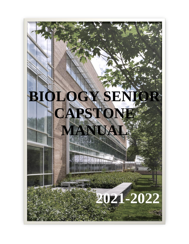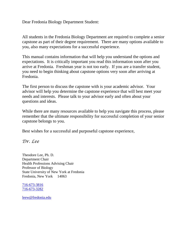Dear Fredonia Biology Department Student:

All students in the Fredonia Biology Department are required to complete a senior capstone as part of their degree requirement. There are many options available to you, also many expectations for a successful experience.

This manual contains information that will help you understand the options and expectations. It is critically important you read this information soon after you arrive at Fredonia. Freshman year is not too early. If you are a transfer student, you need to begin thinking about capstone options very soon after arriving at Fredonia.

The first person to discuss the capstone with is your academic advisor. Your advisor will help you determine the capstone experience that will best meet your needs and interests. Please talk to your advisor early and often about your questions and ideas.

While there are many resources available to help you navigate this process, please remember that the ultimate responsibility for successful completion of your senior capstone belongs to you.

Best wishes for a successful and purposeful capstone experience,

*Dr. Lee*

Theodore Lee, Ph. D. Department Chair Health Professions Advising Chair Professor of Biology State University of New York at Fredonia Fredonia, New York 14063

[716-673-3816](tel:%28716%29%20673-3283) [716-673-3282](tel:%28716%29%20673-3282)

[leew@fredonia.edu](mailto:leew@fredonia.edu)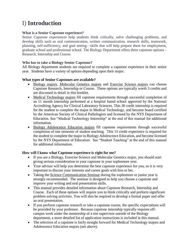# I) **Introduction**

### **What is a Senior Capstone experience?**

Senior Capstone experiences help students think critically, solve challenging problems, and develop skills such as oral communication, written communication, research skills, teamwork, planning, self-sufficiency, and goal setting—skills that will help prepare them for employment, graduate school and professional school. The Biology Department offers three capstone options – Research, Internship and Course.

### **Who has to take a Biology Senior Capstone?**

All Biology department students are required to complete a capstone experience in their senior year. Students have a variety of options depending upon their major.

### **What types of Senior Capstones are available?**

- Biology majors, Molecular Genetics majors and Exercise Science majors can choose Capstone Research, Internship or Course. These options are typically worth 3 credits and are discussed in detail in this booklet.
- Medical Technology majors fill capstone requirements through successful completion of an 11 month internship performed at a hospital based school approved by the National Accrediting Agency for Clinical Laboratory Sciences. This 30 credit internship is required for the student to complete the major in Medical Technology, and become board certified by the American Society of Clinical Pathologists and licensed by the NYS Department of Education. See "Medical Technology Internship" at the end of this manual for additional information.
- Biology Adolescence Education majors fill capstone requirements through successful completion of one semester of student teaching. This 15 credit experience is required for the student to complete the major in Biology Adolescence Education, and become licensed by the NYS Department of Education. See "Student Teaching" at the end of this manual for additional information.

# **How will I know what Capstone experience is right for me?**

- If you are a Biology, Exercise Science and Molecular Genetics major, you should start giving serious consideration to your capstone in your sophomore year.
- Your advisor will help you determine the best capstone experience for you, so it is very important to discuss your interests and career goals with him or her.
- Taking the Science Communication Seminar during the sophomore or junior year is strongly recommended. The seminar is designed to help you choose a capstone and improve your writing and oral presentation skills.
- This manual provides detailed information about Capstone Research, Internship and Course. Each of these options will require you to think critically and preform significant problem solving activities. You will also be required to develop a formal paper and offer an oral presentation.
- If you perform capstone research or take a capstone course, the specific expectations will be provided by your professor. Because capstone internship typically requires offcampus work under the mentorship of a site supervisor outside of the Biology department, a more detailed list of application instructions is included in this manual.
- The selection of a capstone is fairly straight forward for Medical Technology majors and Adolescence Education majors (see above).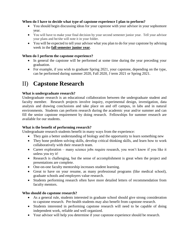### **When do I have to decide what type of capstone experience I plan to perform?**

- You should begin discussing ideas for your capstone with your advisor in your sophomore year.
- You will have to make your final decision by your second semester junior year. Tell your advisor your plans and he/she will note it in your folder.
- You will be expected to tell your advisor what you plan to do for your capstone by advising week in the **fall semester junior year**.

#### **When do I perform the capstone experience?**

- In general the capstone will be performed at some time during the year preceding your graduation.
- For example, if you wish to graduate Spring 2021, your capstone, depending on the type, can be performed during summer 2020, Fall 2020, J term 2021 or Spring 2021.

# II) **Capstone Research**

### **What is undergraduate research?**

Undergraduate research is an educational collaboration between the undergraduate student and faculty member. Research projects involve inquiry, experimental design, investigation, data analysis and drawing conclusions and take place on and off campus, in labs and in natural environments. Students can perform research during the academic year and/or summer and can fill the senior capstone requirement by doing research. Fellowships for summer research are available for our students.

#### **What is the benefit of performing research?**

Undergraduate research students benefit in many ways from the experience:

- They gain a better understanding of biology and the opportunity to learn something new
- They hone problem solving skills, develop critical thinking skills, and learn how to work collaboratively with their research team.
- Career exploration many science jobs require research, you won't know if you like it unless you try it!
- Research is challenging, but the sense of accomplishment is great when the project and presentations are complete.
- One-on-one faculty mentorship increases student learning.
- Great to have on your resume, as many professional programs (like medical school), graduate schools and employers value research.
- Students performing research often have more detailed letters of recommendation from faculty mentors.

# **Who should do capstone research?**

- As a general rule, students interested in graduate school should give strong consideration to capstone research. Pre-health students may also benefit from capstone research.
- Students interested in performing capstone research will need to be capable of doing independent work, reliable and well organized.
- Your advisor will help you determine if your capstone experience should be research.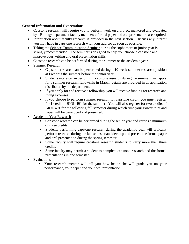#### **General Information and Expectations**

- Capstone research will require you to perform work on a project mentored and evaluated by a Biology department faculty member; a formal paper and oral presentation are required.
- Information about faculty research is provided in the next section. Discuss any interest you may have in capstone research with your advisor as soon as possible.
- Taking the Science Communication Seminar during the sophomore or junior year is strongly recommended. The seminar is designed to help you choose a capstone and improve your writing and oral presentation skills.
- Capstone research can be performed during the summer or the academic year.
- Summer Research
	- Capstone research can be performed during a 10 week summer research position at Fredonia the summer before the senior year
	- Students interested in performing capstone research during the summer must apply for a summer research fellowship in March, details are provided in an application distributed by the department.
	- If you apply for and receive a fellowship, you will receive funding for research and living expenses.
	- If you choose to perform summer research for capstone credit, you must register for 1 credit of BIOL 491 for the summer. You will also register for two credits of BIOL 491 for the following fall semester during which time your PowerPoint and paper will be developed and presented.
- Academic Year Research
	- Capstone research can be performed during the senior year and carries a minimum of three credits.
	- Students performing capstone research during the academic year will typically perform research during the fall semester and develop and present the formal paper and oral presentation during the spring semester.
	- Some faculty will require capstone research students to carry more than three credits.
	- Some faculty may permit a student to complete capstone research and the formal presentations in one semester.
- Evaluations
	- Your research mentor will tell you how he or she will grade you on your performance, your paper and your oral presentation.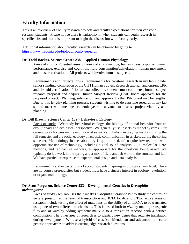# **Faculty Information**

This is an overview of faculty research projects and faculty expectations for their capstone research students. Please notice there is variability in when students can begin research in specific labs and that it is important to begin the discussion with faculty early.

Additional information about faculty research can be obtained by going to <https://www.fredonia.edu/biology/faculty-research>

#### **Dr. Todd Backes, Science Center 238 – Applied Human Physiology**

Areas of study - Potential research areas of study include, human stress response, human performance, exercise and cognition, fluid consumption/dehydration, human movement, and muscle activation. All projects will involve human subjects.

Requirements and Expectations - Requirements for capstone research in my lab include, senior standing, completion of the CITI Human Subject Research tutorial, and current CPR and first aid certification. Prior to data collection, students must complete a human subject research proposal and acquire Human Subject Review (HSR) board approval for the proposed project. Planning, submission, and approval by the HSR board may be lengthy. Due to this lengthy planning process, students wishing to do capstone research in my lab should meet with me one academic year in advance to discuss project viability and planning.

#### **Dr. Bill Brown, Science Center 132 – Behavioral Ecology**

Areas of study - We study behavioral ecology, the biology of animal behavior from an evolutionary and ecological perspective. We generally use insects as model systems. Our current work focuses on the evolution of sexual cannibalism in praying mantids during the fall semester and the social ecology of acoustic communication in crickets during the spring semester. Methodology in the laboratory is quite mixed, often quite low tech but with opportunistic use of technology, including digital sound analysis, GPS, molecular DNA methods, and radioactive markers, as appropriate for the questions being asked. We typically do lab work in the spring and a mix of field and lab work in the summer and fall. We have particular expertise in experimental design and data analysis.

Requirements and expectations - I accept students majoring in biology at any level. There are no course prerequisites but student must have a sincere interest in ecology, evolution, or organismal biology.

#### **Dr. Scott Ferguson, Science Center 233 – Developmental Genetics in** *Drosophila melanogaster*

Areas of study - My lab uses the fruit fly *Drosophila melanogaster* to study the control of gene expression at the level of transcription and RNA localization. Two active areas of research include testing the effect of mutations on the ability of an mRNA to be translated using one of two different mechanisms. This is tested both *in vivo* by making transgenic flies and *in vitro* by adding synthetic mRNAs to a translation reaction with a defined composition. The other area of research is to identify new genes that regulate translation during development. We use a hybrid of classical Mendelian and advanced molecular genetic approaches to address cutting edge research questions.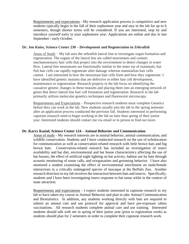Requirements and expectations - My research application process is competitive and new students typically begin in the fall of their sophomore year and stay in the lab for up to 6 semesters, though shorter terms will be considered. If you are interested, stop by and introduce yourself early in your sophomore year. Applications are online and due in late September / early October.

#### **Dr. Jon Kniss, Science Center 230 – Development and Regeneration in Zebrafish**

Areas of Study – My lab uses the zebrafish lateral line to investigate organ formation and regeneration. The organs of the lateral line are called neuromasts and contain mechanosensory hair cells that project into the environment to detect changes in water flow. Lateral line neuromasts are functionally similar to the inner ear of mammals, but fish hair cells can rapidly regenerate after damage whereas mammalian hair cells cannot. I am interested in how the neuromast hair cells form and how they regenerate. I have identified genetic mutants that are defective in either hair cell development, maintenance or regeneration. Research projects in the lab focus on identifying the causative genetic changes in these mutants and placing them into an emerging network of genes that direct lateral line hair cell formation and regeneration. Research in the lab primarily utilizes molecular genetics techniques and fluorescent microscopy.

Requirements and Expectations – Prospective research students must complete Genetics before they can work in the lab. New students usually join the lab in the spring semester after an application process conducted the previous fall. Students interested in performing capstone research need to begin working in the lab no later than spring of their junior year. Interested students should contact me via email or in person to find out more.

#### **Dr. Karry Kazial, Science Center 124 – Animal Behavior and Communication**

Areas of study - My research interests are in animal behavior, animal communication, and wildlife conservation. Students and I have conducted research on the use of echolocation for communication as well as conservation-related research with little brown bats and big brown bats. Conservation-related research has included an investigation of insect availability and bat diet, environmental and bat house characteristics affecting the use of bat houses, the effect of artificial night lighting on bat activity, habitat use by bats through acoustic monitoring of sonar calls, and ectoparasites and grooming behavior. I have also mentored a student examining the effect of environmental enrichment on male/female interactions in a critically endangered species of macaque at the Buffalo Zoo. Another research direction in my lab involves the interaction between bats and insects. Specifically, students and I have been investigating insect response to bat sonar while in the context of mate attraction.

Requirements and expectations - I expect students interested in capstone research in my lab to have taken my course in Animal Behavior and plan to take Animal Communication and Biostatistics. In addition, any students working directly with bats are required to submit an animal care and use protocol for approval and have pre-exposure rabies vaccinations. All research students complete animal care and use training. Interested students should talk with me in spring of their junior year (prior to registration week) as students should plan for 2 semesters in order to complete their capstone research work.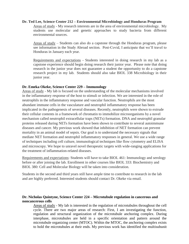#### **Dr. Ted Lee, Science Center 212 – Environmental Microbiology and Honduras Program**

Areas of study - My research interests are in the area of environmental microbiology. My students use molecular and genetic approaches to study bacteria from different environmental sources.

Areas of study – Students can also do a capstone through the Honduras program, please see information in the Study Abroad section. Post-Covid, I anticipate that we'll travel to Honduras in January each year.

Requirements and expectations - Students interested in doing research in my lab as a capstone experience should begin doing research their junior year. Please note that doing research in the junior year does not guarantee a student the opportunity to do a capstone research project in my lab. Students should also take BIOL 338 Microbiology in their junior year.

#### **Dr. Emeka Okeke, Science Center 229 – Immunology**

Areas of study - My lab is focused on the understanding of the molecular mechanisms involved in the inflammatory response of the host to stimuli or infection. We are interested in the role of neutrophils in the inflammatory response and vascular function. Neutrophils are the most abundant immune cells in the vasculature and neutrophil inflammatory response has been implicated in the pathogenesis of several diseases. Recently, neutrophils were shown to extrude their cellular contents in a framework of chromatin to immobilize microorganisms by a novel mechanism called neutrophil extracellular traps (NETs) formation. DNA and neutrophil granular proteins released during NETs formation have been shown to contribute to several autoimmune diseases and cancer. My previous work showed that inhibition of NET formation can prevent mortality in an animal model of sepsis. Our goal is to understand the necessary signals that mediate NET formation and neutrophil inflammatory responses in general. We use a wide range of techniques including cell culture, immunological techniques like flow cytometry and ELISA and microscopy. We hope to unravel novel therapeutic targets with wide-ranging applications for the treatment of inflammation-related diseases.

Requirements and expectations: Students will have to take BIOL 461: Immunology and serology before or after joining the lab. Enrollment in other courses like BIOL 333: Biochemistry and BIOL 380: Cell and Molecular Biology will be taken into consideration.

Students in the second and third years still have ample time to contribute to research in the lab and are highly preferred. Interested students should contact Dr. Okeke via email.

#### **Dr. Nicholas Quintyne, Science Center 224 – Microtubule regulation in cancerous and noncancerous cells**

Areas of study - My lab is interested in the regulation of microtubules throughout the cell cycle. There are two major areas of research: First, I am investigating the function, regulation and structural organization of the microtubule anchoring complex. During interphase, microtubules are held in a specific orientation and pattern around the microtubule organizing center (MTOC). Within the MTOC, the anchoring complex exists to hold the microtubules at their ends. My previous work has identified the multisubunit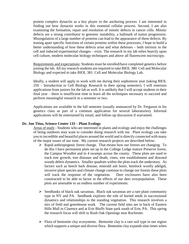protein complex dynactin as a key player in the anchoring process. I am interested in finding out how dynactin works in this essential cellular process. Second, I am also examining the formation, repair and resolution of mitotic defects in cancer cells. Mitotic defects are a strong contributor to genomic instability, a hallmark of tumor progression. Misregulation of a large number of proteins can lead to the appearance of these defects. By teasing apart specific functions of certain proteins within these processes, I hope to build a better understanding of how these defects arise and what defenses – both intrinsic to the cell and induced experimental changes – exist. The research in my lab relies heavily upon cell culture, modern molecular biology techniques and above all fluorescent microscopy.

Requirements and expectations: Students must be enrolled/have completed genetics before joining the lab. All my research students are required to take BIOL 380: Cell and Molecular Biology and expected to take BIOL 381: Cell and Molecular Biology Lab.

Ideally, a student will apply to work with me during their sophomore year (taking BIOL 250 – Introduction to Cell Biology Research in their spring semester). I will entertain applications from juniors for the lab as well. It is unlikely that I will accept students in their final year – there is insufficient time to learn all the techniques necessary to succeed and perform meaningful research in a semester or two.

Applications are available in the fall semester (usually announced by Dr. Ferguson in his genetics class as part of a common application for several laboratories). Informal applications will be entertained by email, and follow-up discussion if warranted.

#### **Dr. Jon Titus, Science Center 133 – Plant Ecology**

Areas of study - Students who are interested in plants and ecology and enjoy the challenges of being outdoors may want to consider doing research with me. Plant ecology can take you to incredible and beautiful places around the world and is directly connected with many of the major issues of our time. My current research projects are described below:

- ➢ Rapid anthropogenic forest change. That means how our forests are changing. To do this I have permanent plots set up in the College Lodge mature Preserve forest, the Campus Woodlot and in 4 swamps across the county. These plots are used to track tree growth, tree diseases and death, vines, tree establishment and downed woody debris dynamics. Smaller quadrats within the plots track the understory. As factors such as beech bark disease, emerald ash borer, hemlock woolly adelgid, invasive plant species and climate change continue to change our forests these plots will track the response of the vegetation. Deer exclosures have also been constructed to be able to factor in the effects of our deer overpopulation. These plots are amenable to an endless number of experiments.
- ➢ Seedbanks of black oak savannas. Black oak savannas are a rare plant community type in NY and PA. Seedbank explores the role of buried seeds in successional dynamics and relationships to the standing vegetation. This research involves a mix of field and greenhouse work. The current field sites are in back of Eastern Hills Mall in Clarence and at Erie Bluffs State park south of Erie, PA. This spring the research focus will shift to Rush Oak Openings near Rochester.
- $\triangleright$  Flora of bentonite clay ecosystems. Bentonite clay is a rare soil type in our region which supports a unique and diverse flora. Bentonite clay expands nine times when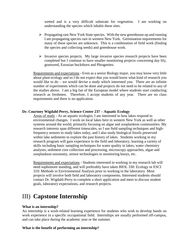wetted and is a very difficult substrate for vegetation. I am working on understanding the species which inhabit these sites.

- $\triangleright$  Propagating rare New York State species. With the new greenhouse up and running I am propagating species rare in western New York. Germination requirements for many of these species are unknown. This is a combination of field work (finding the species and collecting seeds) and greenhouse work.
- $\triangleright$  Invasive species projects. My large invasive species research projects have been completed but I continue to have smaller monitoring projects concerning day lily, goutweed, Eurasian buckthorn and Phragmites.

Requirements and expectations - Even as a senior Biology major, you may know very little about plant ecology and so I do not expect that you would know what kind of research you would like to do – we would devise a study which interested you. There are an infinite number of experiments which can be done and projects do not need to be related to any of the studies above. I am a big fan of the European model where students start conducting research as freshmen. Therefore, I accept students of any year. There are no class requirements and there is no application.

#### **Dr. Courtney Wigdahl-Perry, Science Center 237 – Aquatic Ecology**

Areas of study - As an aquatic ecologist, I am interested in how lakes respond to environmental changes. I work on local lakes here in western New York as well as other systems around the world, primarily focusing on algae and zooplankton communities. My research interests span different timescales, so I use field sampling techniques and highfrequency sensors to study lakes today, and I also study biological fossils preserved within lake sediments to explore the past history of lakes. Students working in my research program will gain experience in the field and laboratory, learning a variety of skills including basic sampling techniques for water quality in lakes, water chemistry analyses, sediment core collection and processing, microscopy approaches, algae and zooplankton taxonomy, sensor technologies in monitoring buoys, etc.

Requirements and expectations - Students interested in working in my research lab will need sophomore standing, and will preferably have taken BIOL 330: Ecology or ESCI 310: Methods in Environmental Analysis prior to working in the laboratory. Most projects will involve both field and laboratory components. Interested students should contact Dr. Wigdahl-Perry to complete a short application and meet to discuss student goals, laboratory expectations, and research projects.

# III) **Capstone Internship**

#### **What is an internship?**

An internship is a work-related learning experience for students who wish to develop hands on work experience in a specific occupational field. Internships are usually performed off-campus, and can take place during the academic year or the summer.

#### **What is the benefit of performing an internship?**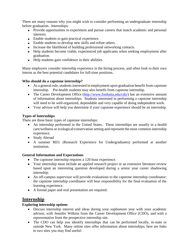There are many reasons why you might wish to consider performing an undergraduate internship before graduation. Internships:

- Provide opportunities to experiment and pursue careers that match academic and personal interests.
- Enable students to gain practical experience.
- Enable students to develop new skills and refine others.
- Increase the likelihood of building professional networking contacts.
- Help students become viable, experienced job applicants when seeking employment after graduation.
- Help students gain confidence in their abilities.

Many employers consider internship experience in the hiring process, and often look to their own interns as the best potential candidates for full-time positions.

#### **Who should do a capstone internship?**

- As a general rule, students interested in employment upon graduation benefit from capstone internship. Pre-health students may also benefit from capstone internship.
- The Career Development Office [\(http://www.fredonia.edu/cdo/\)](http://www.fredonia.edu/cdo/) has an extensive amount of information about internships. Students interested in performing a capstone internship will need to be well-organized, dependable and very capable of doing independent work.
- Your advisor will help you determine if your capstone experience should be an internship.

### **Types of Internships**

There are three basic types of capstone internships:

- An internship performed in the United States. These internships are usually in a health care/wellness or ecological/conservation setting and represent the most common internship experience.
- Study Abroad
- A summer REU (Research Experience for Undergraduates) performed at another institution.

#### **General Information and Expectations**

- The capstone internship requires a 120 hour experience.
- Your internship must include an applied research project or an extensive literature review based upon an interesting question developed during a senior year career shadowing internship.
- An off-campus supervisor will provide evaluations to the capstone internship coordinator; the capstone internship coordinator will bear responsibility for the final evaluation of the learning experience.
- A formal paper and oral presentation are required.

# **Internship**

# **Exploring internship options**

- Discuss internship interest and ideas during your sophomore year with your academic advisor, with Jennifer Wilkins from the Career Development Office (CDO), and with a representative from the prospective internship site.
- The CDO can help you identify internships that can be performed locally, in-state or outside New York. Many online sites offer information about internships; here are links to two sites you may find useful: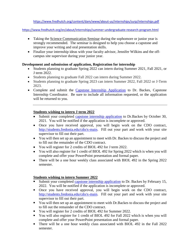<https://www.fredhutch.org/content/dam/www/about-us/internships/surp/internships.pdf>

<https://www.fredhutch.org/en/about/internships/summer-undergraduate-research-program.html>

- Taking the Science Communication Seminar during the sophomore or junior year is strongly recommended. The seminar is designed to help you choose a capstone and improve your writing and oral presentation skills.
- Finalize your internship ideas with your faculty advisor, Jennifer Wilkins and the offcampus site supervisor during your junior year.

### **Development and submission of application, Registration for internship**

- Students planning to graduate Spring 2022 can intern during Summer 2021, Fall 2021, or J term 2022.
- Students planning to graduate Fall 2022 can intern during Summer 2022.
- Students planning to graduate Spring 2023 can intern Summer 2022, Fall 2022 or J-Term 2023.
- Complete and submit the [Capstone Internship Application](#page-17-0) to Dr. Backes, Capstone Internship Coordinator. Be sure to include all information requested, or the application will be returned to you.

### **Students wishing to intern J term 2022**

- Submit your completed [capstone internship application](#page-17-0) to Dr.Backes by October 30, 2021. You will be notified if the application is incomplete or approved.
- Once you have received approval, you will begin work on the CDO contract, [http://students.fredonia.edu/cdo/x-main.](http://students.fredonia.edu/cdo/x-main) Fill out your part and work with your site supervisor to fill out their part.
- You will then set up an appointment to meet with Dr. Backes to discuss the project and to fill out the remainder of the CDO contract.
- You will register for 2 credits of BIOL 492 for J term 2022.
- You will also register for 1 credit of BIOL 492 for Spring 2022 which is when you will complete and offer your PowerPoint presentation and formal paper.
- There will be a one hour weekly class associated with BIOL 492 in the Spring 2022 semester.

#### **Students wishing to intern Summer 2022**

- Submit your completed [capstone internship application](#page-17-0) to Dr. Backes by February 15, 2022. You will be notified if the application is incomplete or approved.
- Once you have received approval, you will begin work on the CDO contract, [http://students.fredonia.edu/cdo/x-main.](http://students.fredonia.edu/cdo/x-main) Fill out your part and work with your site supervisor to fill out their part.
- You will then set up an appointment to meet with Dr.Backes to discuss the project and to fill out the remainder of the CDO contract.
- You will register for 2 credits of BIOL 492 for Summer 2022.
- You will also register for 1 credit of BIOL 492 for Fall 2022 which is when you will complete and offer your PowerPoint presentation and formal paper.
- There will be a one hour weekly class associated with BIOL 492 in the Fall 2022 semester.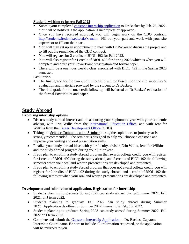#### **Students wishing to intern Fall 2022**

- Submit your completed [capstone internship application](#page-17-0) to Dr. Backes by Feb. 23, 2022. You will be notified if the application is incomplete or approved.
- ■Once you have received approval, you will begin work on the CDO contract, [http://students.fredonia.edu/cdo/x-main.](http://students.fredonia.edu/cdo/x-main) Fill out your part and work with your site supervisor to fill out their part.
- You will then set up an appointment to meet with Dr.Backes to discuss the project and to fill out the remainder of the CDO contract.
- You will register for 2 credits of BIOL 492 for Fall 2022.
- You will also register for 1 credit of BIOL 492 for Spring 2023 which is when you will complete and offer your PowerPoint presentation and formal paper.
- There will be a one hour weekly class associated with BIOL 492 in the Spring 2023 semester.

### **Evaluation**

- The final grade for the two credit internship will be based upon the site supervisor's evaluation and materials provided by the student to Dr.Backes.
- The final grade for the one credit follow-up will be based on Dr.Backes' evaluation of the formal PowerPoint and paper.

# **Study Abroad**

### **Exploring internship options**

- Discuss study abroad interest and ideas during your sophomore year with your academic advisor, with Erin Willis from the [International Education Office,](https://www.fredonia.edu/academics/international-education) and with Jennifer Wilkins from the [Career Development Office](https://www.fredonia.edu/student-life/career-development-office) (CDO).
- Taking the Science Communication Seminar during the sophomore or junior year is strongly recommended. The seminar is designed to help you choose a capstone and improve your writing and oral presentation skills.
- Finalize your study abroad ideas with your faculty advisor, Erin Willis, Jennifer Wilkins and the study abroad program during your junior year.
- If you plan to enroll in a study abroad program that awards college credit, you will register for 1 credit of BIOL 492 during the study abroad, and 2 credits of BIOL 492 the following semester when your oral and written presentations are developed and presented.
- If you plan to enroll in a study abroad program that does not award college credit, you will register for 2 credits of BIOL 492 during the study abroad, and 1 credit of BIOL 492 the following semester when your oral and written presentations are developed and presented.

#### **Development and submission of application, Registration for internship**

- Students planning to graduate Spring 2022 can study abroad during Summer 2021, Fall 2021, or J term 2022.
- Students planning to graduate Fall 2022 can study abroad during Summer 2022. Application deadline for Summer 2022 internship is Feb. 15, 2022.
- Students planning to graduate Spring 2023 can study abroad during Summer 2022, Fall 2022 or J term 2023.
- Complete and submit the [Capstone Internship Application](#page-17-0) to Dr. Backes, Capstone Internship Coordinator. Be sure to include all information requested, or the application will be returned to you.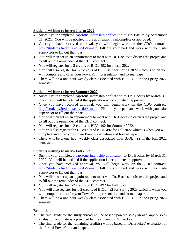### **Students wishing to intern J term 2022**

- Submit your completed [capstone internship application](#page-17-0) to Dr. Backes by September 21, 2021. You will be notified if the application is incomplete or approved.
- Once you have received approval, you will begin work on the CDO contract, [http://students.fredonia.edu/cdo/x-main.](http://students.fredonia.edu/cdo/x-main) Fill out your part and work with your site supervisor to fill out their part.
- You will then set up an appointment to meet with Dr. Backes to discuss the project and to fill out the remainder of the CDO contract.
- You will register for 1-2 credits of BIOL 492 for J term 2022.
- You will also register for 1-2 credits of BIOL 492 for Spring 2022 which is when you will complete and offer your PowerPoint presentation and formal paper.
- There will be a one hour weekly class associated with BIOL 492 in the Spring 2022 semester.

# **Students wishing to intern Summer 2022**

- Submit your completed capstone internship application to Dr. Backes by March 31, 2022. You will be notified if the application is incomplete or approved.
- ■Once you have received approval, you will begin work on the CDO contract, [http://students.fredonia.edu/cdo/x-main.](http://students.fredonia.edu/cdo/x-main) Fill out your part and work with your site supervisor to fill out their part.
- You will then set up an appointment to meet with Dr. Backes to discuss the project and to fill out the remainder of the CDO contract.
- You will register for 1-2 credits of BIOL 492 for Summer 2022.
- You will also register for 1-2 credits of BIOL 492 for Fall 2022 which is when you will complete and offer your PowerPoint presentation and formal paper.
- There will be a one hour weekly class associated with BIOL 492 in the Fall 2022 semester.

# **Students wishing to intern Fall 2022**

- Submit your completed [capstone internship application](#page-17-0) to Dr. Backes by March 31, 2022. You will be notified if the application is incomplete or approved.
- ■Once you have received approval, you will begin work on the CDO contract, [http://students.fredonia.edu/cdo/x-main.](http://students.fredonia.edu/cdo/x-main) Fill out your part and work with your site supervisor to fill out their part.
- You will then set up an appointment to meet with Dr. Backes to discuss the project and to fill out the remainder of the CDO contract.
- You will register for 1-2 credits of BIOL 492 for Fall 2022.
- You will also register for 1-2 credits of BIOL 492 for Spring 2023 which is when you will complete and offer your PowerPoint presentation and formal paper.
- There will be a one hour weekly class associated with BIOL 492 in the Spring 2023 semester.

# **Evaluation**

- The final grade for the study abroad will be based upon the study abroad supervisor's evaluation and materials provided by the student to Dr. Backes.
- $\blacksquare$  The final grade for the remaining credit(s) will be based on Dr. Backes' evaluation of the formal PowerPoint and paper.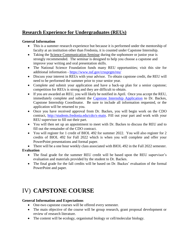# **Research Experience for Undergraduates (REUs)**

### **General Information**

- This is a summer research experience but because it is performed under the mentorship of faculty at an institution other than Fredonia, it is counted under Capstone Internship.
- Taking the Science Communication Seminar during the sophomore or junior year is strongly recommended. The seminar is designed to help you choose a capstone and improve your writing and oral presentation skills.
- The National Science Foundation funds many REU opportunities; visit this site for additional information - <https://www.nsf.gov/crssprgm/reu/>
- Discuss your interest in REUs with your advisor. To obtain capstone credit, the REU will need to be performed the summer prior to your senior year.
- Complete and submit your application and have a back-up plan for a senior capstone; competition for REUs is strong and they are difficult to obtain.
- If you are awarded an REU, you will likely be notified in April. Once you accept the REU, immediately complete and submit the [Capstone Internship Application](#page-17-0) to Dr. Backes, Capstone Internship Coordinator. Be sure to include all information requested, or the application will be returned to you.
- Once you have received approval from Dr. Backes, you will begin work on the CDO contract, [http://students.fredonia.edu/cdo/x-main.](http://students.fredonia.edu/cdo/x-main) Fill out your part and work with your REU supervisor to fill out their part.
- You will then set up an appointment to meet with Dr. Backes to discuss the REU and to fill out the remainder of the CDO contract.
- You will register for 1 credit of BIOL 492 for summer 2022. You will also register for 2 credits of BIOL 492 for Fall 2022 which is when you will complete and offer your PowerPoint presentations and formal paper.

• There will be a one hour weekly class associated with BIOL 492 in the Fall 2022 semester. **Evaluation**

- The final grade for the summer REU credit will be based upon the REU supervisor's evaluation and materials provided by the student to Dr. Backes.
- The final grade for the fall credits will be based on Dr. Backes' evaluation of the formal PowerPoint and paper.

# IV) **CAPSTONE COURSE**

# **General Information and Expectations**

- One-two capstone courses will be offered every semester.
- The main objective of the course will be group research, grant proposal development or review of research literature.
- The content will be ecology, organismal biology or cell/molecular biology.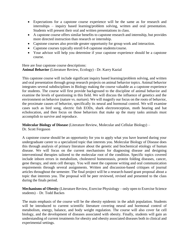- Expectations for a capstone course experience will be the same as for research and internships – inquiry based learning/problem solving, written and oral presentation. Students will present their oral and written presentations in class.
- A capstone course offers similar benefits to capstone research and internship, but provides more directed instruction than research or internship.
- Capstone courses also provide greater opportunity for group work and interaction.
- Capstone courses typically enroll 6-8 capstone students/course.
- Your advisor will help you determine if your capstone experience should be a capstone course.

Here are four capstone course descriptions: **Animal Behavior** (Literature Review, Ecology) - Dr. Karry Kazial

This capstone course will include significant inquiry based learning/problem solving, and written and oral presentation through group research projects on animal behavior topics. Animal behavior integrates several subdisciplines in Biology making the course valuable as a capstone experience for students. The course will first provide background to the discipline of animal behavior and examine the levels of questioning in this field. We will discuss the influence of genetics and the environment on behavior (nature vs. nurture). We will magnify our focus on the roots of behavior, the proximate causes of behavior, specifically its neural and hormonal control. We will examine cases such as bird song, electric fish EODs, shark electroreception, moth hearing and bat echolocation, and then focus on those behaviors that make up the many tasks animals must accomplish to survive and reproduce.

**Molecular Biology of Disease** (Literature Review, Molecular and Cellular Biology) –

Dr. Scott Ferguson

A capstone course should be an opportunity for you to apply what you have learned during your undergraduate career to a specialized topic that interests you. Molecular Biology of Disease does this through analysis of primary literature about the genetic and biochemical etiology of human disease. We will focus on the current mechanisms for diagnosing disease and designing interventional therapies tailored to the molecular root of the condition. Specific topics covered include inborn errors in metabolism, cholesterol homeostasis, protein folding diseases, cancer, gene therapy, and stem cell therapy. You will meet the capstone writing and oral communication requirements through several assignments. Written and discussion-based critiques of journal articles throughout the semester. The final project will be a research-based grant proposal about a topic that interests you. The proposal will be peer reviewed, revised and presented to the class during the finals period.

**Mechanisms of Obesity** (Literature Review, Exercise Physiology – only open to Exercise Science students) – Dr. Todd Backes

The main emphasis of the course will be the obesity epidemic in the adult population. Students will be introduced to current scientific literature covering neural and hormonal control of metabolism, energy, balance, and body weight regulation. The course will also cover fat cell biology, and the development of diseases associated with obesity. Finally, students will gain an understanding of current treatments for obesity and obesity associated diseases both in clinical and experimental settings.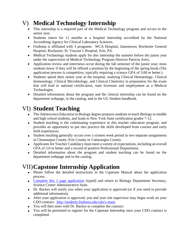# V) **Medical Technology Internship**

- This internship is a required part of the Medical Technology program and occurs in the senior year.
- Students intern for 11 months at a hospital internship accredited by the National Accrediting Agency for Clinical Laboratory Sciences.
- Fredonia is affiliated with 3 programs: WCA Hospital, Jamestown; Rochester General Hospital, Rochester; St. Vincent's Hospital, Erie, PA.
- Medical Technology students apply for this internship the summer before the junior year under the supervision of Medical Technology Program Director Patricia Astry.
- Application review and interviews occur during the fall semester of the junior year; most students know if they will be offered a position by the beginning of the spring break (The application process is competitive, typically requiring a science GPA of 3.00 or better.)
- Students spend their senior year at the hospital, studying Clinical Hematology, Clinical Immunology, Clinical Microbiology, and Clinical Chemistry in preparation for the exam that will lead to national certification, state licensure and employment as a Medical Technologist.
- Detailed information about the program and the clinical internship can be found on the department webpage, in the catalog, and in the UG Student handbook.

# VI) **Student Teaching**

- The Adolescence Education in Biology degree prepares students to teach Biology to middle and high school students, and leads to New York State certification grades 7-12.
- Student teaching is the culminating experience in this teacher education program, and provides an opportunity to put into practice the skills developed from courses and early field experiences.
- Student teaching generally occurs over a sixteen week period in two separate assignments in Chautauqua County, Erie County or Cattaraugus County.
- Applicants for Teacher Candidacy must meet a variety of expectations, including an overall GPA of 3.0 or better and a record of positive Professional Dispositions.
- Detailed information about the program and student teaching can be found on the department webpage and in the catalog.

# VII)**Capstone Internship Application**

- Please follow the detailed instructions in the Capstone Manual about the application process.
- [Complete this 1 page application](#page-17-0) (typed) and return to Biology Department Secretary, Science Center Administrative Suite.
- Dr. Backes will notify you when your application is approved (or if you need to provide additional information).
- After your application is approved, you and your site supervisor may begin work on your CDO contract. [http://students.fredonia.edu/cdo/x-main.](http://students.fredonia.edu/cdo/x-main)
- You will then meet with Dr. Backes to complete the contract.
- You will be permitted to register for the Capstone Internship once your CDO contract is completed.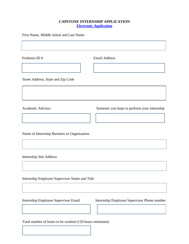#### **CAPSTONE INTERNSHIP APPLICATION [Electronic Application](https://forms.gle/tcCqZHbeGZBY8MiGA)**

<span id="page-17-0"></span>First Name, Middle Initial and Last Name

Fredonia ID # Email Address

Street Address, State and Zip Code

Academic Advisor: Semester you hope to perform your internship

Name of Internship Business or Organization

Internship Site Address

Internship Employee Supervisor Name and Title

Internship Employee Supervisor Email Internship Employee Supervisor Phone number

Total number of hours to be worked (120 hours minimum)